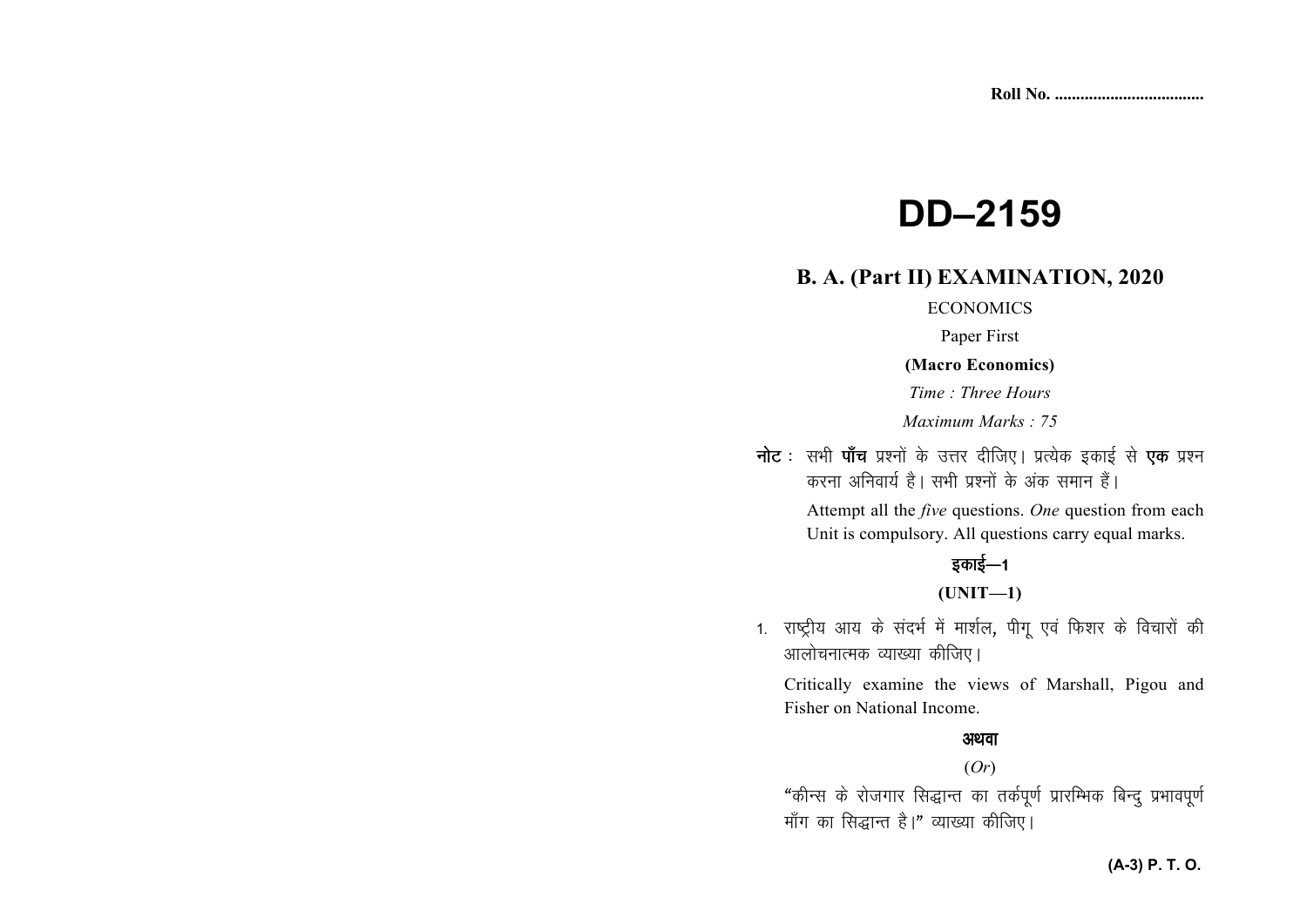# **DD-2159**

### **B. A. (Part II) EXAMINATION, 2020**

### **ECONOMICS**

Paper First

### (Macro Economics)

Time: Three Hours

Maximum Marks: 75

**नोट** : सभी **पाँच** प्रश्नों के उत्तर दीजिए। प्रत्येक इकाई से **एक** प्रश्न करना अनिवार्य है। सभी प्रश्नों के अंक समान हैं।

> Attempt all the *five* questions. One question from each Unit is compulsory. All questions carry equal marks.

## इकाई—1

 $(UNIT-1)$ 

1. राष्ट्रीय आय के संदर्भ में मार्शल, पीगू एवं फिशर के विचारों की आलोचनात्मक व्याख्या कीजिए।

Critically examine the views of Marshall, Pigou and Fisher on National Income.

### अथवा

#### $(Or)$

"कीन्स के रोजगार सिद्धान्त का तर्कपूर्ण प्रारम्भिक बिन्दु प्रभावपूर्ण माँग का सिद्धान्त है।" व्याख्या कीजिए।

### (A-3) P. T. O.